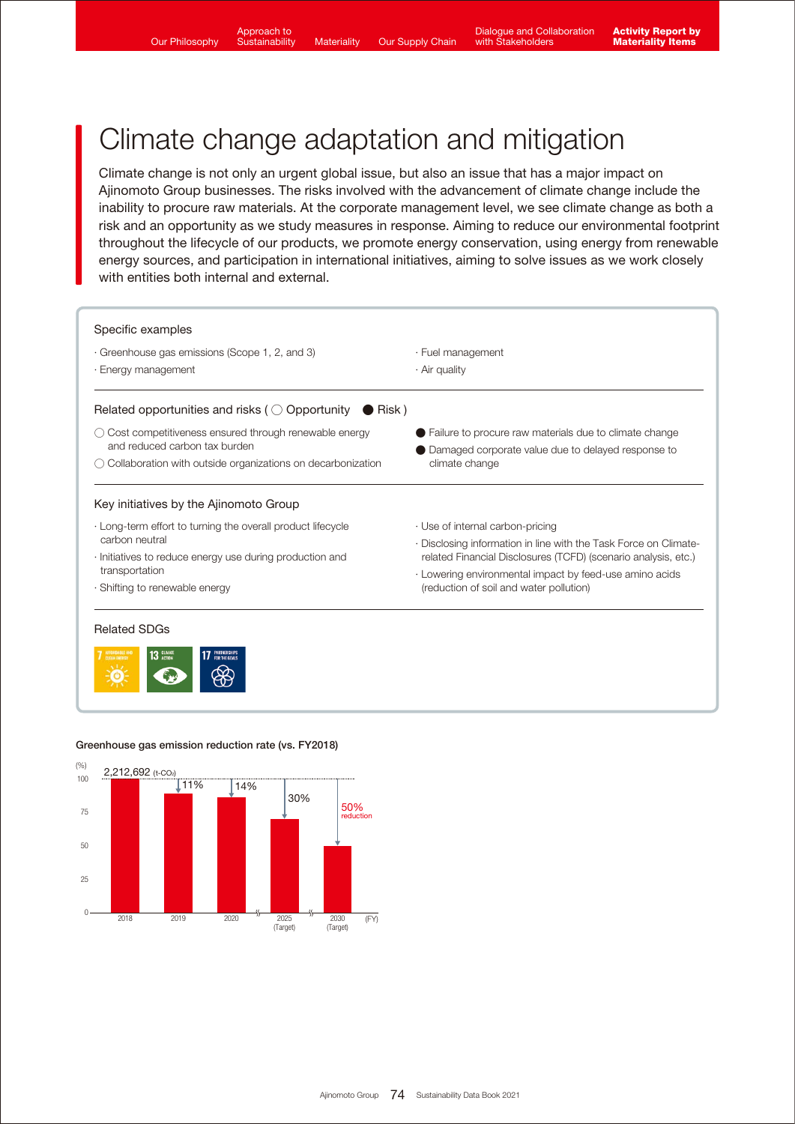## Climate change adaptation and mitigation

Climate change is not only an urgent global issue, but also an issue that has a major impact on Ajinomoto Group businesses. The risks involved with the advancement of climate change include the inability to procure raw materials. At the corporate management level, we see climate change as both a risk and an opportunity as we study measures in response. Aiming to reduce our environmental footprint throughout the lifecycle of our products, we promote energy conservation, using energy from renewable energy sources, and participation in international initiatives, aiming to solve issues as we work closely with entities both internal and external.



#### Greenhouse gas emission reduction rate (vs. FY2018)

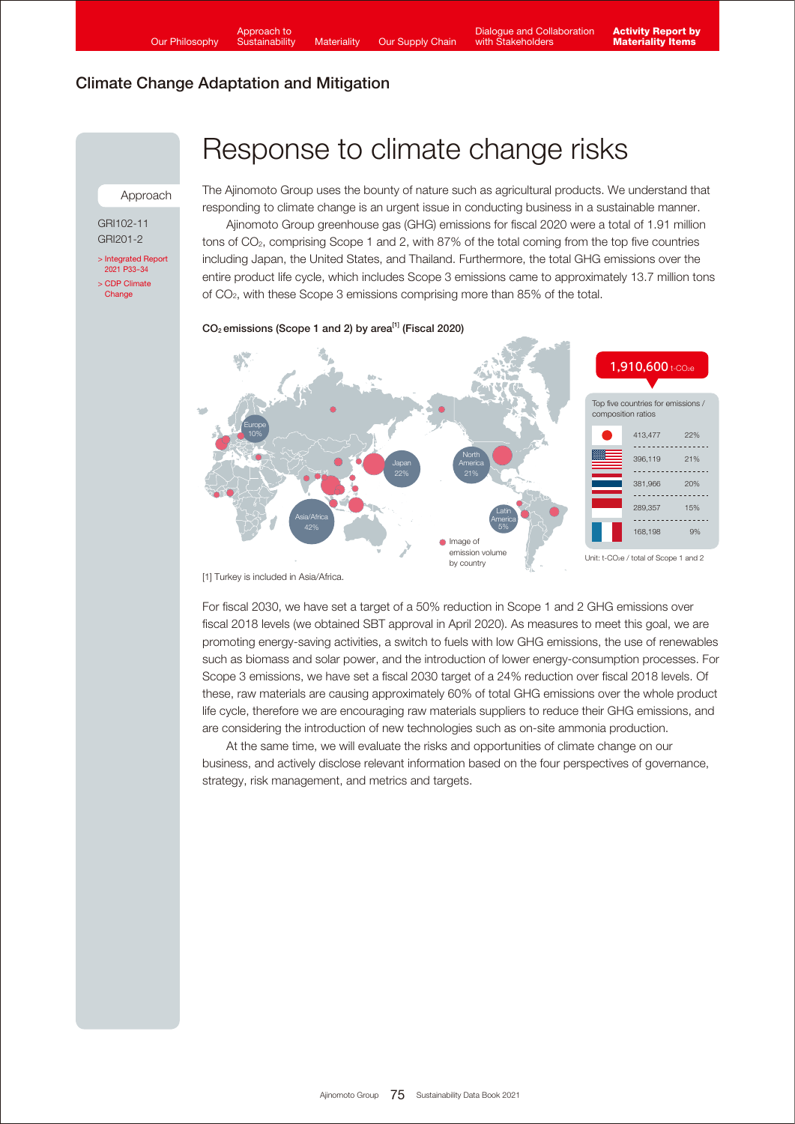Approach

GRI102-11 GRI201-2

[> Integrated Report](https://www.ajinomoto.co.jp/company/en/ir/library/annual/main/08/teaserItems1/00/linkList/0/link/Integrated%20Report%202021_E_A4.pdf#page=34)  2021 P33-34 [> CDP Climate](https://www.ajinomoto.com/sustainability/pdf/2021/Ajinomoto_CDP_ClimateChange_2021.pdf) **Change** 

## Response to climate change risks

The Ajinomoto Group uses the bounty of nature such as agricultural products. We understand that responding to climate change is an urgent issue in conducting business in a sustainable manner.

 Ajinomoto Group greenhouse gas (GHG) emissions for fiscal 2020 were a total of 1.91 million tons of CO2, comprising Scope 1 and 2, with 87% of the total coming from the top five countries including Japan, the United States, and Thailand. Furthermore, the total GHG emissions over the entire product life cycle, which includes Scope 3 emissions came to approximately 13.7 million tons of CO2, with these Scope 3 emissions comprising more than 85% of the total.

### $CO<sub>2</sub>$  emissions (Scope 1 and 2) by area<sup>[1]</sup> (Fiscal 2020)



[1] Turkey is included in Asia/Africa.

For fiscal 2030, we have set a target of a 50% reduction in Scope 1 and 2 GHG emissions over fiscal 2018 levels (we obtained SBT approval in April 2020). As measures to meet this goal, we are promoting energy-saving activities, a switch to fuels with low GHG emissions, the use of renewables such as biomass and solar power, and the introduction of lower energy-consumption processes. For Scope 3 emissions, we have set a fiscal 2030 target of a 24% reduction over fiscal 2018 levels. Of these, raw materials are causing approximately 60% of total GHG emissions over the whole product life cycle, therefore we are encouraging raw materials suppliers to reduce their GHG emissions, and are considering the introduction of new technologies such as on-site ammonia production.

 At the same time, we will evaluate the risks and opportunities of climate change on our business, and actively disclose relevant information based on the four perspectives of governance, strategy, risk management, and metrics and targets.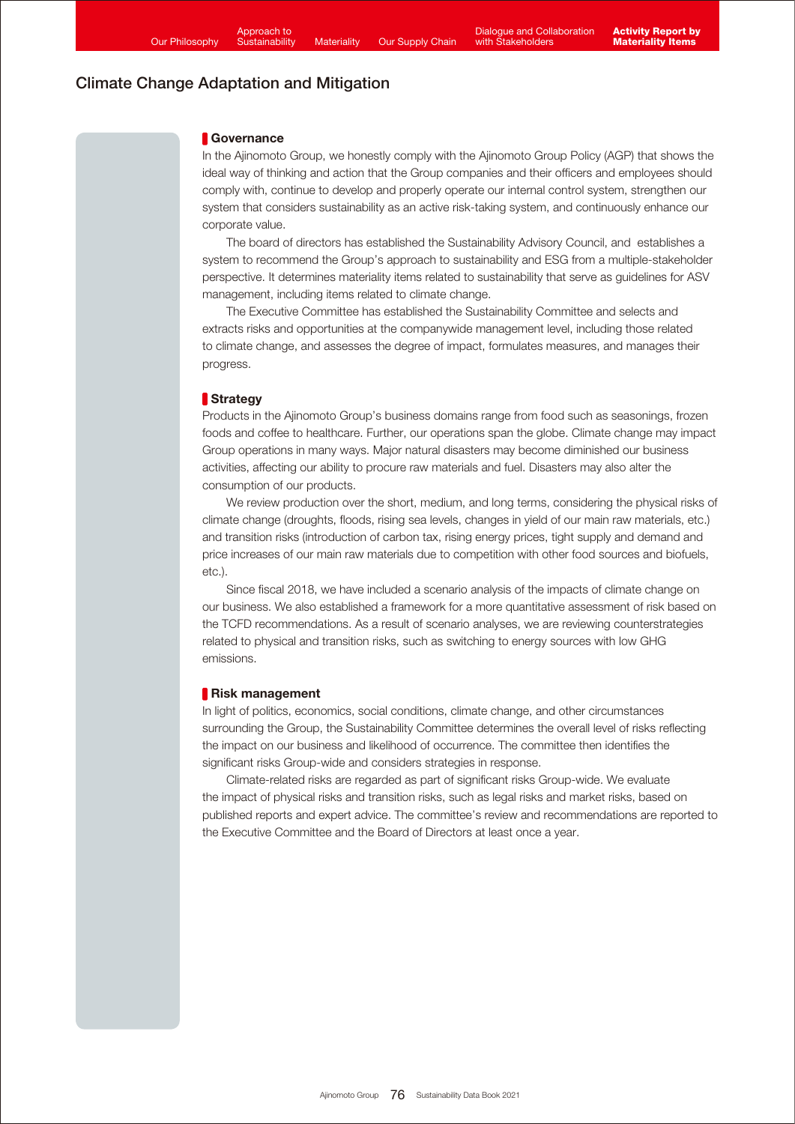### Governance

In the Ajinomoto Group, we honestly comply with the Ajinomoto Group Policy (AGP) that shows the ideal way of thinking and action that the Group companies and their officers and employees should comply with, continue to develop and properly operate our internal control system, strengthen our system that considers sustainability as an active risk-taking system, and continuously enhance our corporate value.

 The board of directors has established the Sustainability Advisory Council, and establishes a system to recommend the Group's approach to sustainability and ESG from a multiple-stakeholder perspective. It determines materiality items related to sustainability that serve as guidelines for ASV management, including items related to climate change.

 The Executive Committee has established the Sustainability Committee and selects and extracts risks and opportunities at the companywide management level, including those related to climate change, and assesses the degree of impact, formulates measures, and manages their progress.

### **Strategy**

Products in the Ajinomoto Group's business domains range from food such as seasonings, frozen foods and coffee to healthcare. Further, our operations span the globe. Climate change may impact Group operations in many ways. Major natural disasters may become diminished our business activities, affecting our ability to procure raw materials and fuel. Disasters may also alter the consumption of our products.

We review production over the short, medium, and long terms, considering the physical risks of climate change (droughts, floods, rising sea levels, changes in yield of our main raw materials, etc.) and transition risks (introduction of carbon tax, rising energy prices, tight supply and demand and price increases of our main raw materials due to competition with other food sources and biofuels, etc.).

 Since fiscal 2018, we have included a scenario analysis of the impacts of climate change on our business. We also established a framework for a more quantitative assessment of risk based on the TCFD recommendations. As a result of scenario analyses, we are reviewing counterstrategies related to physical and transition risks, such as switching to energy sources with low GHG emissions.

### Risk management

In light of politics, economics, social conditions, climate change, and other circumstances surrounding the Group, the Sustainability Committee determines the overall level of risks reflecting the impact on our business and likelihood of occurrence. The committee then identifies the significant risks Group-wide and considers strategies in response.

 Climate-related risks are regarded as part of significant risks Group-wide. We evaluate the impact of physical risks and transition risks, such as legal risks and market risks, based on published reports and expert advice. The committee's review and recommendations are reported to the Executive Committee and the Board of Directors at least once a year.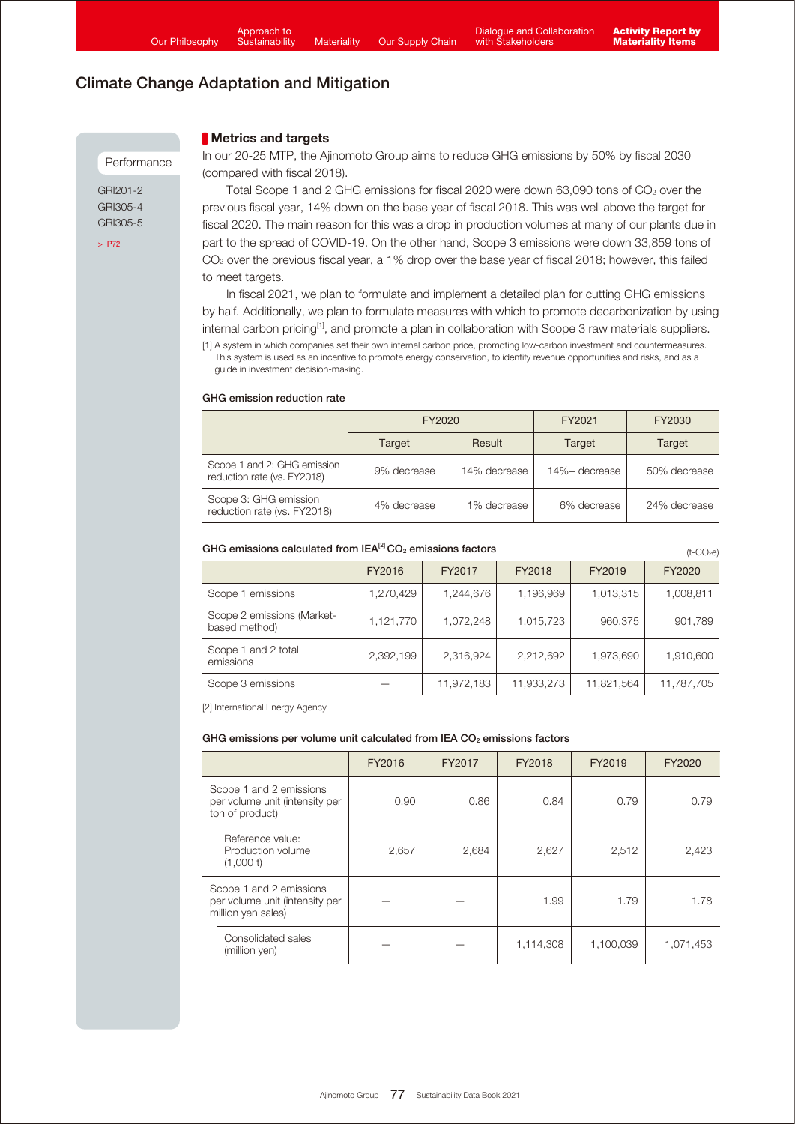**Metrics and targets** 

### Climate Change Adaptation and Mitigation

#### Performance

GRI201-2 GRI305-4 GRI305-5

[> P72](https://www.ajinomoto.com/sustainability/pdf/2021/SDB2021en_ems.pdf#page=5)

In our 20-25 MTP, the Ajinomoto Group aims to reduce GHG emissions by 50% by fiscal 2030 (compared with fiscal 2018).

Total Scope 1 and 2 GHG emissions for fiscal 2020 were down 63,090 tons of CO<sub>2</sub> over the previous fiscal year, 14% down on the base year of fiscal 2018. This was well above the target for fiscal 2020. The main reason for this was a drop in production volumes at many of our plants due in part to the spread of COVID-19. On the other hand, Scope 3 emissions were down 33,859 tons of CO<sub>2</sub> over the previous fiscal year, a 1% drop over the base year of fiscal 2018; however, this failed to meet targets.

 In fiscal 2021, we plan to formulate and implement a detailed plan for cutting GHG emissions by half. Additionally, we plan to formulate measures with which to promote decarbonization by using internal carbon pricing<sup>[1]</sup>, and promote a plan in collaboration with Scope 3 raw materials suppliers. [1] A system in which companies set their own internal carbon price, promoting low-carbon investment and countermeasures.

This system is used as an incentive to promote energy conservation, to identify revenue opportunities and risks, and as a guide in investment decision-making.

#### GHG emission reduction rate

|                                                            | FY2020      |              | FY2021        | FY2030       |
|------------------------------------------------------------|-------------|--------------|---------------|--------------|
|                                                            | Target      | Result       | Target        | Target       |
| Scope 1 and 2: GHG emission<br>reduction rate (vs. FY2018) | 9% decrease | 14% decrease | 14%+ decrease | 50% decrease |
| Scope 3: GHG emission<br>reduction rate (vs. FY2018)       | 4% decrease | 1% decrease  | 6% decrease   | 24% decrease |

#### GHG emissions calculated from  $|EA^{[2]}CO_2$  emissions factors

 $(t-CO<sub>2</sub>e)$ 

|                                             | FY2016    | FY2017     | FY2018     | FY2019     | FY2020     |
|---------------------------------------------|-----------|------------|------------|------------|------------|
| Scope 1 emissions                           | 1,270,429 | 1,244,676  | 1,196,969  | 1,013,315  | 1,008,811  |
| Scope 2 emissions (Market-<br>based method) | 1,121,770 | 1,072,248  | 1,015,723  | 960,375    | 901,789    |
| Scope 1 and 2 total<br>emissions            | 2,392,199 | 2,316,924  | 2,212,692  | 1,973,690  | 1,910,600  |
| Scope 3 emissions                           |           | 11,972,183 | 11,933,273 | 11,821,564 | 11,787,705 |

[2] International Energy Agency

#### GHG emissions per volume unit calculated from IEA  $CO<sub>2</sub>$  emissions factors

|                                                                                 | FY2016 | FY2017 | FY2018    | FY2019    | FY2020    |
|---------------------------------------------------------------------------------|--------|--------|-----------|-----------|-----------|
| Scope 1 and 2 emissions<br>per volume unit (intensity per<br>ton of product)    | 0.90   | 0.86   | 0.84      | 0.79      | 0.79      |
| Reference value:<br>Production volume<br>(1,000)                                | 2,657  | 2,684  | 2,627     | 2,512     | 2,423     |
| Scope 1 and 2 emissions<br>per volume unit (intensity per<br>million yen sales) |        |        | 1.99      | 1.79      | 1.78      |
| Consolidated sales<br>(million yen)                                             |        |        | 1,114,308 | 1,100,039 | 1,071,453 |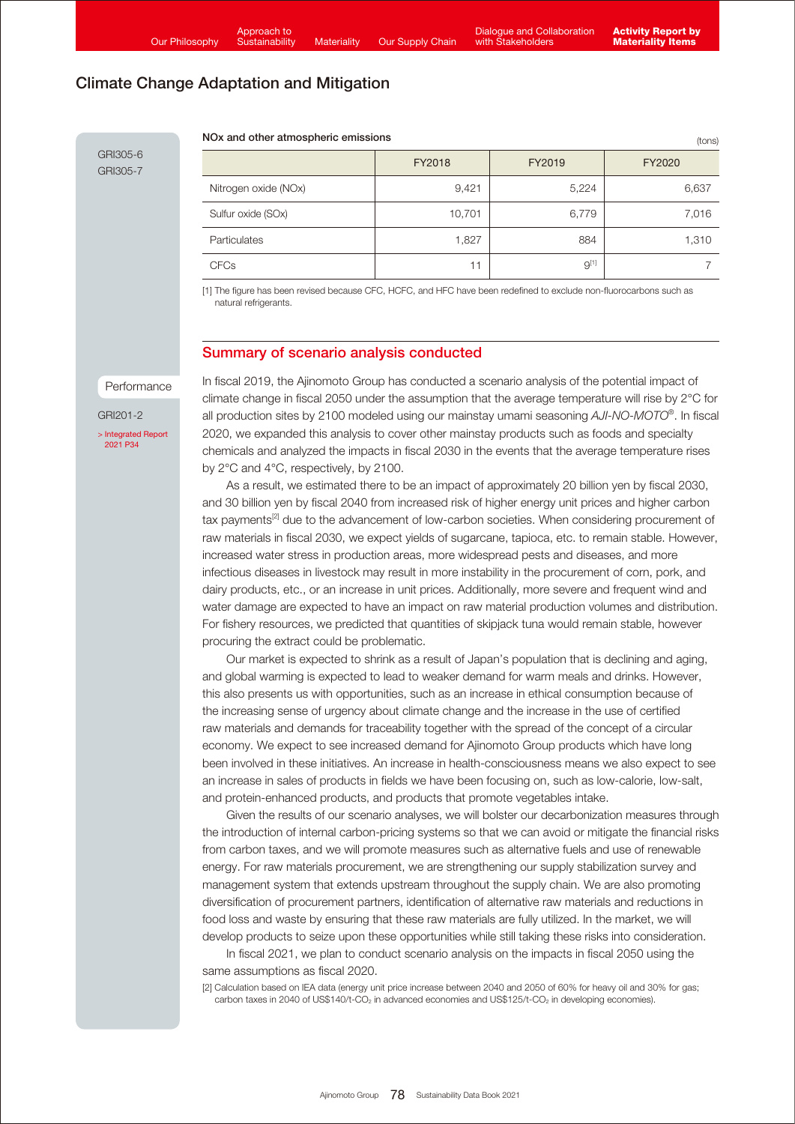NOx and other atmospheric emissions

(tons)

GRI305-6 GRI305-7

|                      | FY2018 | FY2019    | FY2020 |
|----------------------|--------|-----------|--------|
| Nitrogen oxide (NOx) | 9,421  | 5,224     | 6,637  |
| Sulfur oxide (SOx)   | 10,701 | 6,779     | 7,016  |
| Particulates         | 1,827  | 884       | 1,310  |
| <b>CFCs</b>          | 11     | $9^{[1]}$ |        |

[1] The figure has been revised because CFC, HCFC, and HFC have been redefined to exclude non-fluorocarbons such as natural refrigerants.

### Summary of scenario analysis conducted

Performance

GRI201-2

[> Integrated Report](https://www.ajinomoto.co.jp/company/en/ir/library/annual/main/08/teaserItems1/00/linkList/0/link/Integrated%20Report%202021_E_A4.pdf#page=35)  2021 P34

In fiscal 2019, the Ajinomoto Group has conducted a scenario analysis of the potential impact of climate change in fiscal 2050 under the assumption that the average temperature will rise by 2°C for all production sites by 2100 modeled using our mainstay umami seasoning *AJI-NO-MOTO®* . In fiscal 2020, we expanded this analysis to cover other mainstay products such as foods and specialty chemicals and analyzed the impacts in fiscal 2030 in the events that the average temperature rises by 2°C and 4°C, respectively, by 2100.

 As a result, we estimated there to be an impact of approximately 20 billion yen by fiscal 2030, and 30 billion yen by fiscal 2040 from increased risk of higher energy unit prices and higher carbon tax payments<sup>[2]</sup> due to the advancement of low-carbon societies. When considering procurement of raw materials in fiscal 2030, we expect yields of sugarcane, tapioca, etc. to remain stable. However, increased water stress in production areas, more widespread pests and diseases, and more infectious diseases in livestock may result in more instability in the procurement of corn, pork, and dairy products, etc., or an increase in unit prices. Additionally, more severe and frequent wind and water damage are expected to have an impact on raw material production volumes and distribution. For fishery resources, we predicted that quantities of skipjack tuna would remain stable, however procuring the extract could be problematic.

 Our market is expected to shrink as a result of Japan's population that is declining and aging, and global warming is expected to lead to weaker demand for warm meals and drinks. However, this also presents us with opportunities, such as an increase in ethical consumption because of the increasing sense of urgency about climate change and the increase in the use of certified raw materials and demands for traceability together with the spread of the concept of a circular economy. We expect to see increased demand for Ajinomoto Group products which have long been involved in these initiatives. An increase in health-consciousness means we also expect to see an increase in sales of products in fields we have been focusing on, such as low-calorie, low-salt, and protein-enhanced products, and products that promote vegetables intake.

 Given the results of our scenario analyses, we will bolster our decarbonization measures through the introduction of internal carbon-pricing systems so that we can avoid or mitigate the financial risks from carbon taxes, and we will promote measures such as alternative fuels and use of renewable energy. For raw materials procurement, we are strengthening our supply stabilization survey and management system that extends upstream throughout the supply chain. We are also promoting diversification of procurement partners, identification of alternative raw materials and reductions in food loss and waste by ensuring that these raw materials are fully utilized. In the market, we will develop products to seize upon these opportunities while still taking these risks into consideration.

 In fiscal 2021, we plan to conduct scenario analysis on the impacts in fiscal 2050 using the same assumptions as fiscal 2020.

[2] Calculation based on IEA data (energy unit price increase between 2040 and 2050 of 60% for heavy oil and 30% for gas; carbon taxes in 2040 of US\$140/t-CO<sub>2</sub> in advanced economies and US\$125/t-CO<sub>2</sub> in developing economies).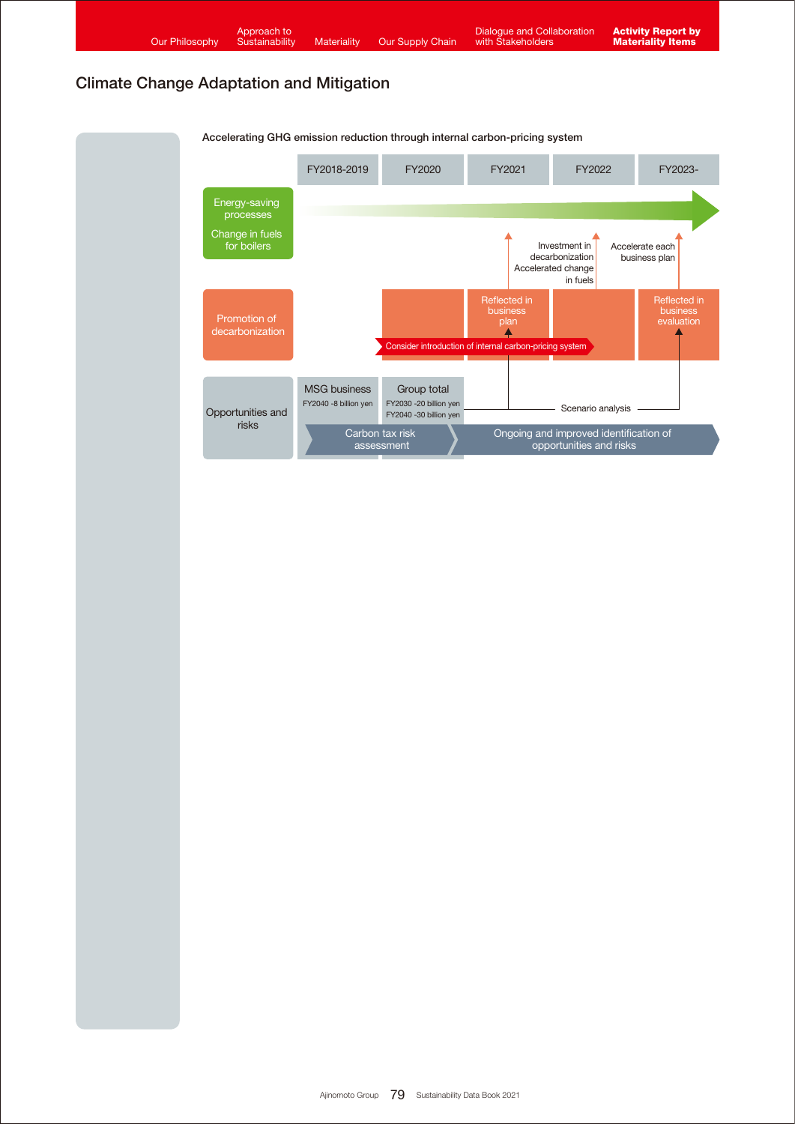| <b>Our Philosophy</b>                           | Approach to<br>Sustainability   | Materiality                                  | Our Supply Chain                                                                   | <b>Dialogue and Collaboration</b><br>with Stakeholders  |                                                                    | <b>Activity Report by</b><br><b>Materiality Items</b> |
|-------------------------------------------------|---------------------------------|----------------------------------------------|------------------------------------------------------------------------------------|---------------------------------------------------------|--------------------------------------------------------------------|-------------------------------------------------------|
| <b>Climate Change Adaptation and Mitigation</b> |                                 |                                              |                                                                                    |                                                         |                                                                    |                                                       |
|                                                 |                                 |                                              | Accelerating GHG emission reduction through internal carbon-pricing system         |                                                         |                                                                    |                                                       |
|                                                 |                                 | FY2018-2019                                  | FY2020                                                                             | FY2021                                                  | FY2022                                                             | FY2023-                                               |
|                                                 | Energy-saving<br>processes      |                                              |                                                                                    |                                                         |                                                                    |                                                       |
|                                                 | Change in fuels<br>for boilers  |                                              |                                                                                    |                                                         | Investment in<br>decarbonization<br>Accelerated change<br>in fuels | Accelerate each<br>business plan                      |
|                                                 | Promotion of<br>decarbonization |                                              |                                                                                    | Reflected in<br><b>business</b><br>plan                 |                                                                    | Reflected in<br>business<br>evaluation                |
|                                                 |                                 |                                              |                                                                                    | Consider introduction of internal carbon-pricing system |                                                                    |                                                       |
|                                                 | Opportunities and<br>risks      | <b>MSG business</b><br>FY2040 -8 billion yen | Group total<br>FY2030 -20 billion yen<br>FY2040 -30 billion yen<br><b>Contract</b> |                                                         | Scenario analysis<br>and the company of the second company of      |                                                       |

Carbon tax risk assessment

Ongoing and improved identification of opportunities and risks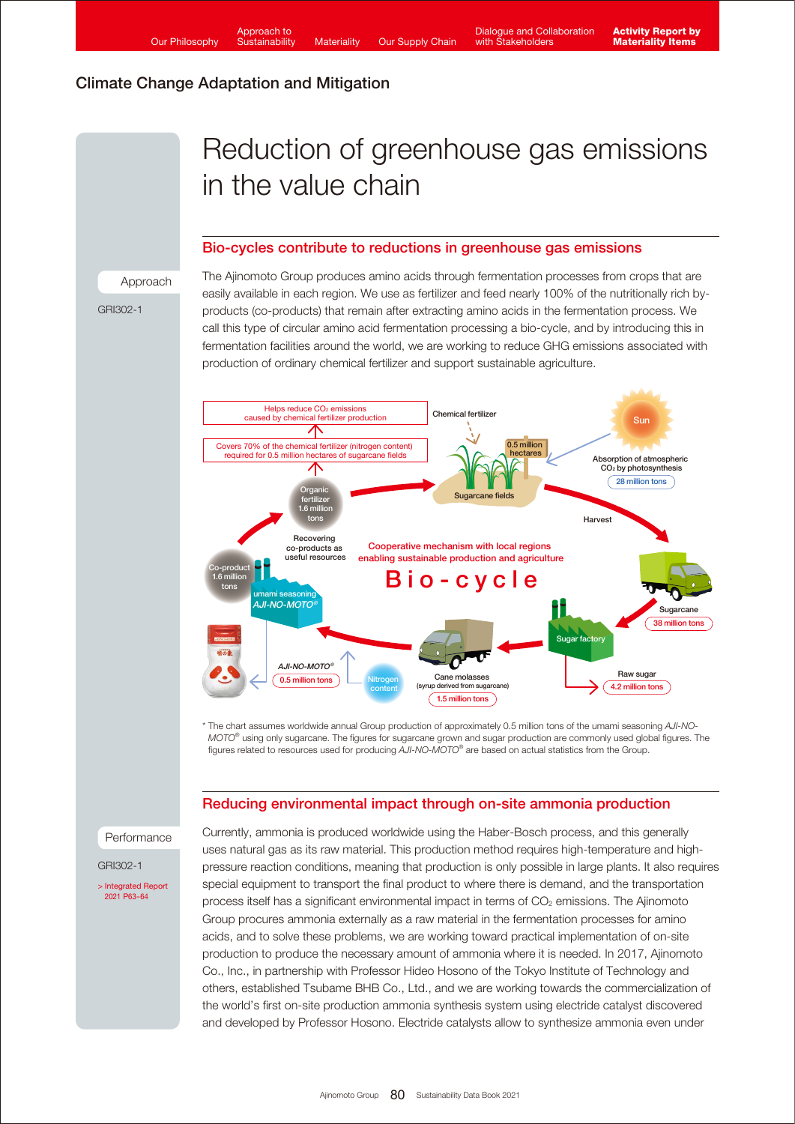# Reduction of greenhouse gas emissions in the value chain

### Bio-cycles contribute to reductions in greenhouse gas emissions

Approach

GRI302-1

The Ajinomoto Group produces amino acids through fermentation processes from crops that are easily available in each region. We use as fertilizer and feed nearly 100% of the nutritionally rich byproducts (co-products) that remain after extracting amino acids in the fermentation process. We call this type of circular amino acid fermentation processing a bio-cycle, and by introducing this in fermentation facilities around the world, we are working to reduce GHG emissions associated with production of ordinary chemical fertilizer and support sustainable agriculture.



\* The chart assumes worldwide annual Group production of approximately 0.5 million tons of the umami seasoning *AJI-NO-MOTO®* using only sugarcane. The figures for sugarcane grown and sugar production are commonly used global figures. The figures related to resources used for producing *AJI-NO-MOTO®* are based on actual statistics from the Group.

### Reducing environmental impact through on-site ammonia production

Performance

GRI302-1

[> Integrated Report](https://www.ajinomoto.co.jp/company/en/ir/library/annual/main/08/teaserItems1/00/linkList/0/link/Integrated%20Report%202021_E_A4.pdf#page=64)  2021 P63-64

Currently, ammonia is produced worldwide using the Haber-Bosch process, and this generally uses natural gas as its raw material. This production method requires high-temperature and highpressure reaction conditions, meaning that production is only possible in large plants. It also requires special equipment to transport the final product to where there is demand, and the transportation process itself has a significant environmental impact in terms of CO<sub>2</sub> emissions. The Ajinomoto Group procures ammonia externally as a raw material in the fermentation processes for amino acids, and to solve these problems, we are working toward practical implementation of on-site production to produce the necessary amount of ammonia where it is needed. In 2017, Ajinomoto Co., Inc., in partnership with Professor Hideo Hosono of the Tokyo Institute of Technology and others, established Tsubame BHB Co., Ltd., and we are working towards the commercialization of the world's first on-site production ammonia synthesis system using electride catalyst discovered and developed by Professor Hosono. Electride catalysts allow to synthesize ammonia even under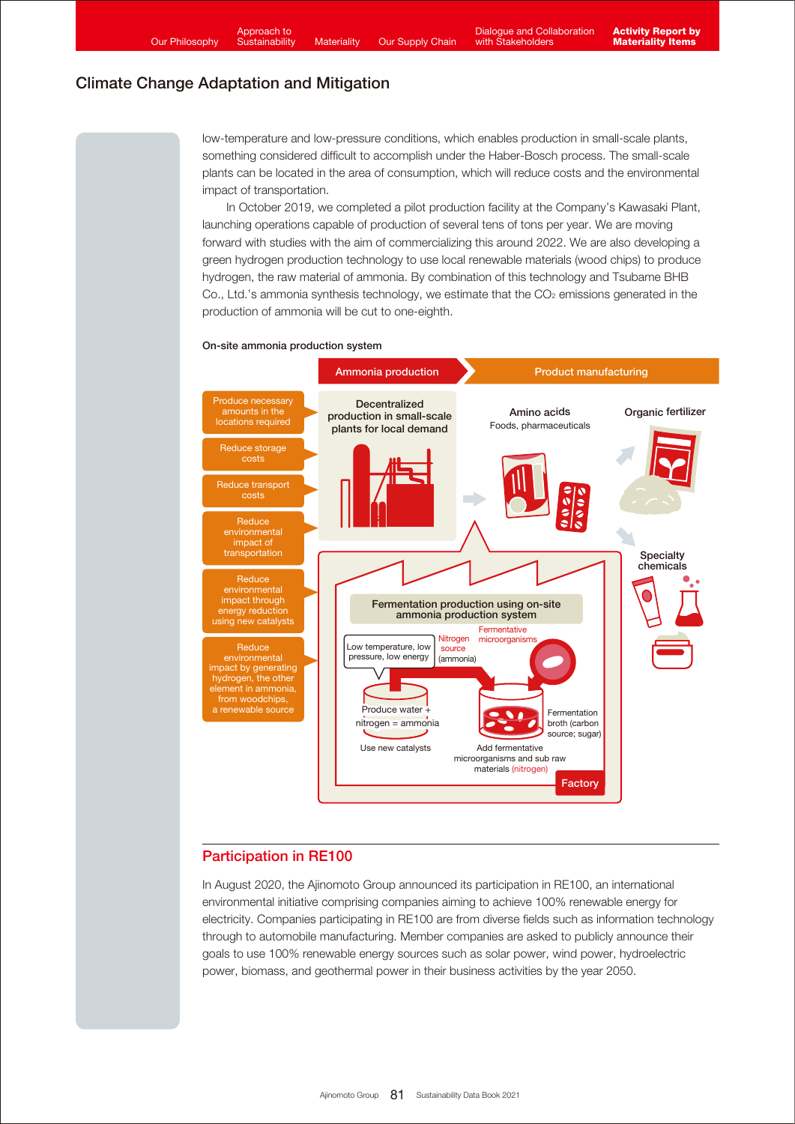low-temperature and low-pressure conditions, which enables production in small-scale plants, something considered difficult to accomplish under the Haber-Bosch process. The small-scale plants can be located in the area of consumption, which will reduce costs and the environmental impact of transportation.

 In October 2019, we completed a pilot production facility at the Company's Kawasaki Plant, launching operations capable of production of several tens of tons per year. We are moving forward with studies with the aim of commercializing this around 2022. We are also developing a green hydrogen production technology to use local renewable materials (wood chips) to produce hydrogen, the raw material of ammonia. By combination of this technology and Tsubame BHB Co., Ltd.'s ammonia synthesis technology, we estimate that the CO<sub>2</sub> emissions generated in the production of ammonia will be cut to one-eighth.





### Participation in RE100

In August 2020, the Ajinomoto Group announced its participation in RE100, an international environmental initiative comprising companies aiming to achieve 100% renewable energy for electricity. Companies participating in RE100 are from diverse fields such as information technology through to automobile manufacturing. Member companies are asked to publicly announce their goals to use 100% renewable energy sources such as solar power, wind power, hydroelectric power, biomass, and geothermal power in their business activities by the year 2050.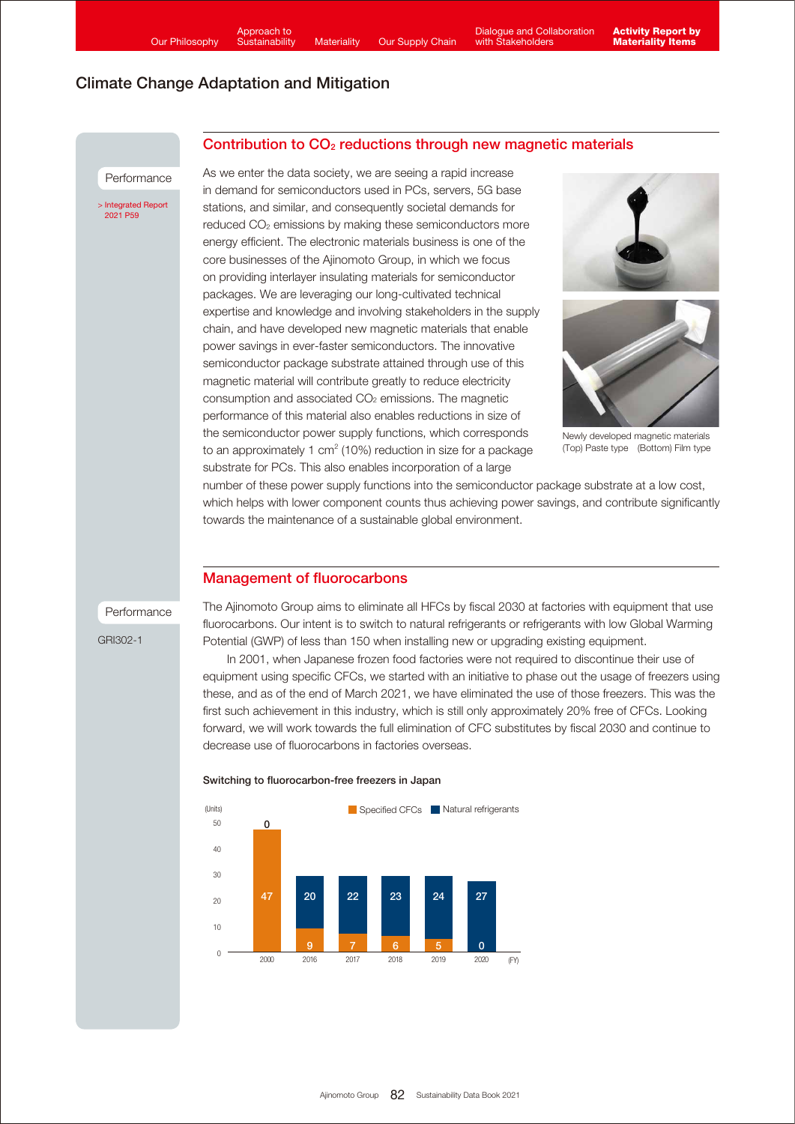Contribution to CO<sub>2</sub> reductions through new magnetic materials

### Climate Change Adaptation and Mitigation

#### Performance

[> Integrated Report](https://www.ajinomoto.co.jp/company/en/ir/library/annual/main/08/teaserItems1/00/linkList/0/link/Integrated%20Report%202021_E_A4.pdf#page=60)  2021 P59

As we enter the data society, we are seeing a rapid increase in demand for semiconductors used in PCs, servers, 5G base stations, and similar, and consequently societal demands for reduced CO2 emissions by making these semiconductors more energy efficient. The electronic materials business is one of the core businesses of the Ajinomoto Group, in which we focus on providing interlayer insulating materials for semiconductor packages. We are leveraging our long-cultivated technical expertise and knowledge and involving stakeholders in the supply chain, and have developed new magnetic materials that enable power savings in ever-faster semiconductors. The innovative semiconductor package substrate attained through use of this magnetic material will contribute greatly to reduce electricity consumption and associated CO2 emissions. The magnetic performance of this material also enables reductions in size of the semiconductor power supply functions, which corresponds to an approximately 1 cm<sup>2</sup> (10%) reduction in size for a package substrate for PCs. This also enables incorporation of a large





Newly developed magnetic materials (Top) Paste type (Bottom) Film type

number of these power supply functions into the semiconductor package substrate at a low cost, which helps with lower component counts thus achieving power savings, and contribute significantly towards the maintenance of a sustainable global environment.

### Management of fluorocarbons

Performance

GRI302-1

The Ajinomoto Group aims to eliminate all HFCs by fiscal 2030 at factories with equipment that use fluorocarbons. Our intent is to switch to natural refrigerants or refrigerants with low Global Warming Potential (GWP) of less than 150 when installing new or upgrading existing equipment.

 In 2001, when Japanese frozen food factories were not required to discontinue their use of equipment using specific CFCs, we started with an initiative to phase out the usage of freezers using these, and as of the end of March 2021, we have eliminated the use of those freezers. This was the first such achievement in this industry, which is still only approximately 20% free of CFCs. Looking forward, we will work towards the full elimination of CFC substitutes by fiscal 2030 and continue to decrease use of fluorocarbons in factories overseas.



#### Switching to fluorocarbon-free freezers in Japan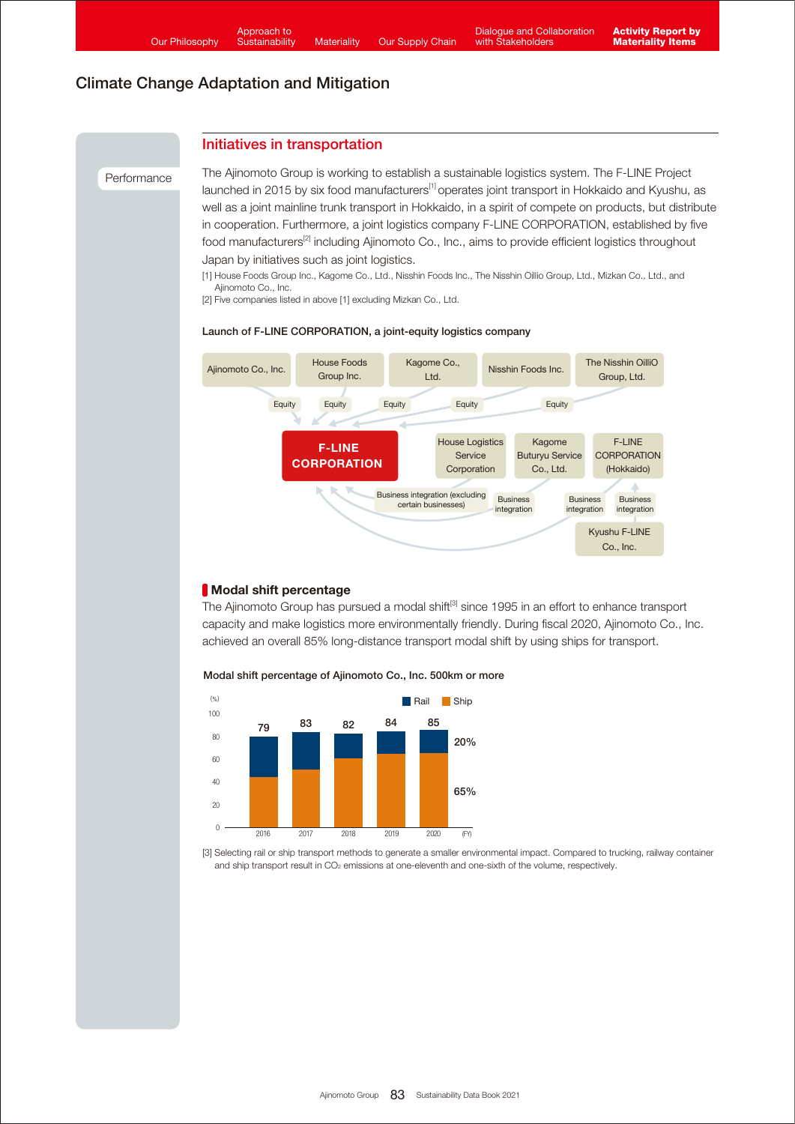### Initiatives in transportation

#### **Performance**

The Ajinomoto Group is working to establish a sustainable logistics system. The F-LINE Project launched in 2015 by six food manufacturers<sup>[1]</sup> operates joint transport in Hokkaido and Kyushu, as well as a joint mainline trunk transport in Hokkaido, in a spirit of compete on products, but distribute in cooperation. Furthermore, a joint logistics company F-LINE CORPORATION, established by five food manufacturers<sup>[2]</sup> including Ajinomoto Co., Inc., aims to provide efficient logistics throughout Japan by initiatives such as joint logistics.

[1] House Foods Group Inc., Kagome Co., Ltd., Nisshin Foods Inc., The Nisshin Oillio Group, Ltd., Mizkan Co., Ltd., and Ajinomoto Co., Inc.

[2] Five companies listed in above [1] excluding Mizkan Co., Ltd.

### Launch of F-LINE CORPORATION, a joint-equity logistics company



### Modal shift percentage

The Ajinomoto Group has pursued a modal shift<sup>[3]</sup> since 1995 in an effort to enhance transport capacity and make logistics more environmentally friendly. During fiscal 2020, Ajinomoto Co., Inc. achieved an overall 85% long-distance transport modal shift by using ships for transport.



Modal shift percentage of Ajinomoto Co., Inc. 500km or more



[3] Selecting rail or ship transport methods to generate a smaller environmental impact. Compared to trucking, railway container and ship transport result in CO<sub>2</sub> emissions at one-eleventh and one-sixth of the volume, respectively.